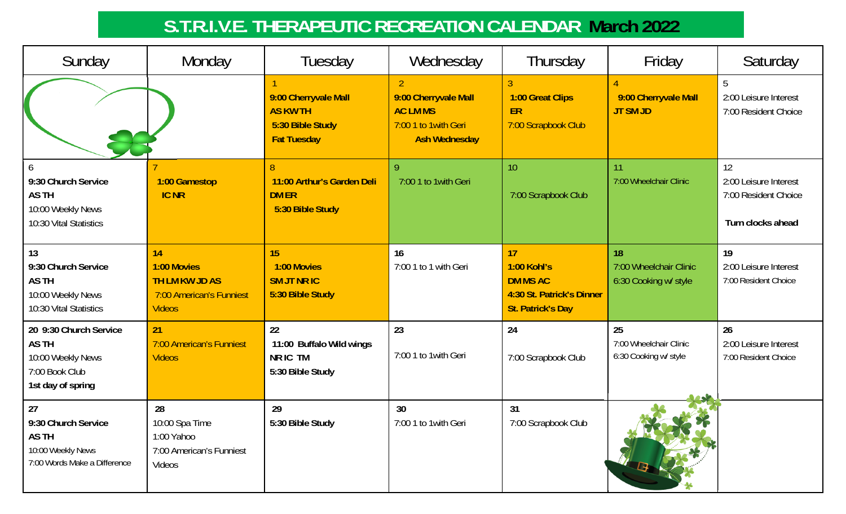# **S.T.R.I.V.E. THERAPEUTIC RECREATION CALENDAR March 2022**

| Sunday                                                                                            | Monday                                                                                  | Tuesday                                                                           | Wednesday                                                                                | Thursday                                                                                      | Friday                                                | Saturday                                                                 |
|---------------------------------------------------------------------------------------------------|-----------------------------------------------------------------------------------------|-----------------------------------------------------------------------------------|------------------------------------------------------------------------------------------|-----------------------------------------------------------------------------------------------|-------------------------------------------------------|--------------------------------------------------------------------------|
|                                                                                                   |                                                                                         | 9:00 Cherryvale Mall<br><b>AS KW TH</b><br>5:30 Bible Study<br><b>Fat Tuesday</b> | 9:00 Cherryvale Mall<br><b>AC LM MS</b><br>7:00 1 to 1 with Geri<br><b>Ash Wednesday</b> | 1:00 Great Clips<br>ER<br>7:00 Scrapbook Club                                                 | 9:00 Cherryvale Mall<br><b>JT SM JD</b>               | 5<br>2:00 Leisure Interest<br>7:00 Resident Choice                       |
| 9:30 Church Service<br>AS TH<br>10:00 Weekly News<br>10:30 Vital Statistics                       | 1:00 Gamestop<br><b>IC NR</b>                                                           | $\overline{8}$<br>11:00 Arthur's Garden Deli<br><b>DM ER</b><br>5:30 Bible Study  | 9<br>7:00 1 to 1 with Geri                                                               | 10<br>7:00 Scrapbook Club                                                                     | 11<br>7:00 Wheelchair Clinic                          | 12<br>2:00 Leisure Interest<br>7:00 Resident Choice<br>Turn clocks ahead |
| 13<br>9:30 Church Service<br>AS TH<br>10:00 Weekly News<br>10:30 Vital Statistics                 | 14<br>1:00 Movies<br><b>TH LM KW JD AS</b><br>7:00 American's Funniest<br><b>Videos</b> | 15<br>1:00 Movies<br><b>SM JT NR IC</b><br>5:30 Bible Study                       | 16<br>7:00 1 to 1 with Geri                                                              | 17<br>1:00 Kohl's<br><b>DM MS AC</b><br>4:30 St. Patrick's Dinner<br><b>St. Patrick's Day</b> | 18<br>7:00 Wheelchair Clinic<br>6:30 Cooking w/ style | 19<br>2:00 Leisure Interest<br>7:00 Resident Choice                      |
| 20 9:30 Church Service<br><b>ASTH</b><br>10:00 Weekly News<br>7:00 Book Club<br>1st day of spring | 21<br>7:00 American's Funniest<br><b>Videos</b>                                         | 22<br>11:00 Buffalo Wild wings<br>NR IC TM<br>5:30 Bible Study                    | 23<br>7:00 1 to 1 with Geri                                                              | 24<br>7:00 Scrapbook Club                                                                     | 25<br>7:00 Wheelchair Clinic<br>6:30 Cooking w/ style | 26<br>2:00 Leisure Interest<br>7:00 Resident Choice                      |
| 27<br>9:30 Church Service<br>AS TH<br>10:00 Weekly News<br>7:00 Words Make a Difference           | 28<br>10:00 Spa Time<br>1:00 Yahoo<br>7:00 American's Funniest<br>Videos                | 29<br>5:30 Bible Study                                                            | 30<br>7:00 1 to 1 with Geri                                                              | 31<br>7:00 Scrapbook Club                                                                     |                                                       |                                                                          |